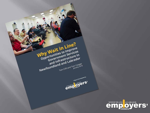

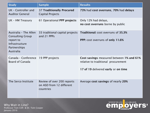| <b>Study</b>                                                                                                 | <b>Sample</b>                                                       | <b>Results</b>                                                                                                         |
|--------------------------------------------------------------------------------------------------------------|---------------------------------------------------------------------|------------------------------------------------------------------------------------------------------------------------|
| UK - Controller and<br><b>Auditor General</b>                                                                | <b>37 Traditionally Procured</b><br><b>Capital Projects</b>         | 73% had cost overruns, 70% had delays                                                                                  |
| UK - HM Treasury                                                                                             | 61 Operational PPP projects                                         | Only 12% had delays,<br>no cost overruns borne by public                                                               |
| Australia - The Allen<br><b>Consulting Group</b><br>report to<br>Infrastructure<br>Partnerships<br>Australia | 33 traditional capital projects<br>and 21 PPPs                      | <b>Traditional: cost overruns of 35.3%</b><br>PPP: cost overruns of only 11.6%                                         |
| Canada - Conference 19 PPP projects<br><b>Board of Canada</b>                                                |                                                                     | Cost savings measured between 1% and 61%<br>relative to traditional procurement<br>17 of 19 delivered early or on time |
| The Serco Institute                                                                                          | Review of over 200 reports<br>on ASD from 12 different<br>countries | Average cost savings of nearly 20%                                                                                     |

Why Wait in Line? Professor Tom Clift & Dr. Tom Cooper January 2016

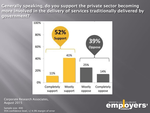**Generally speaking, do you support the private sector becoming more involved in the delivery of services traditionally delivered by government?** 



Corporate Research Associates, August 2015

Sample size: 400 95% confidence level, +/-4.9% margin of error

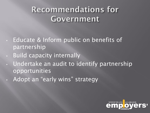## **Recommendations for** Government

- Educate & Inform public on benefits of partnership
- Build capacity internally
- Undertake an audit to identify partnership opportunities
- Adopt an "early wins" strategy

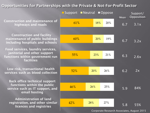## **Opportunities for Partnerships with the Private & Not-For-Profit Sector**

42% 46% 52% 55% 60% 61% 28% 26% 20% 23% 20% 18% 27% 25% 26% 21% 19% 20% **Administration of land registration, and other similar licences and registries Back office technical support functions within the public service such as IT support, and email hosting Low risk, transactional health services such as blood collection Food services, laundry services, janitorial and other support functions within government run facilities Construction and facility maintenance of public buildings including hospitals and schools Construction and maintenance of highways and roads** ■Support ■Neutral ■Oppose Mean 6.7 6.7 6.3 6.2 5.9 5.8 Support/ Opposition 3.1x 3.2x  $2.6x$ 55%

Corporate Research Associates, August 2015

 $2x$ 

84%